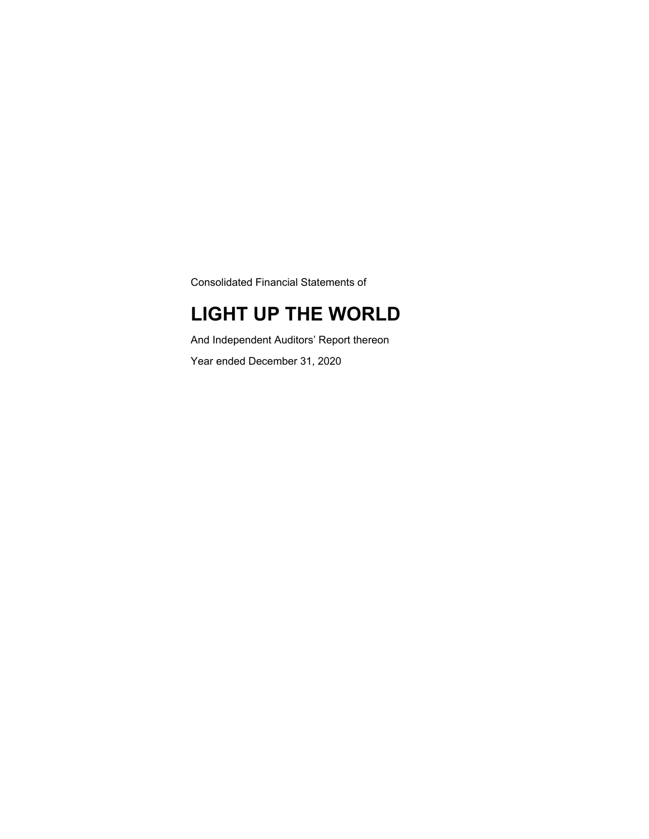Consolidated Financial Statements of

### **LIGHT UP THE WORLD**

And Independent Auditors' Report thereon

Year ended December 31, 2020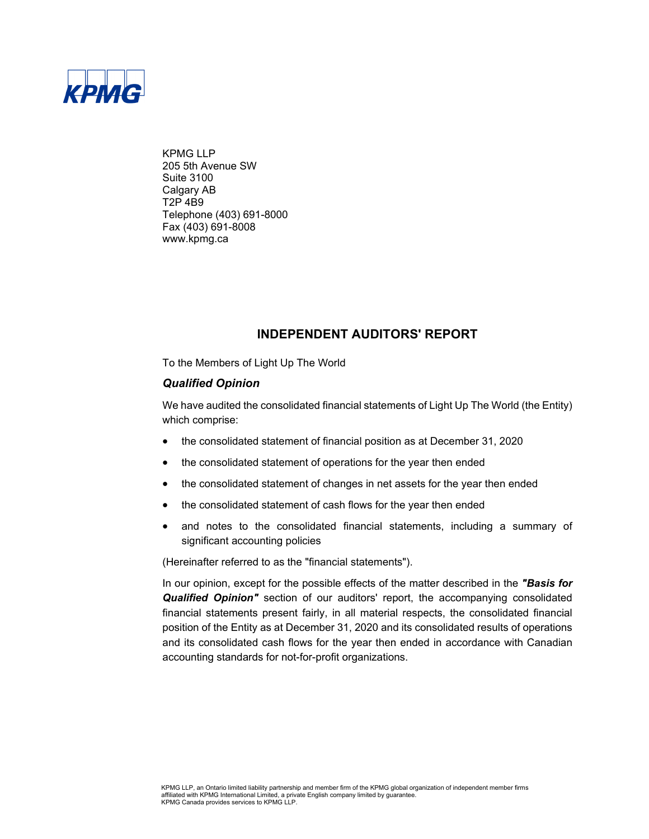

KPMG LLP 205 5th Avenue SW Suite 3100 Calgary AB T2P 4B9 Telephone (403) 691-8000 Fax (403) 691-8008 www.kpmg.ca

### **INDEPENDENT AUDITORS' REPORT**

To the Members of Light Up The World

#### *Qualified Opinion*

We have audited the consolidated financial statements of Light Up The World (the Entity) which comprise:

- the consolidated statement of financial position as at December 31, 2020
- the consolidated statement of operations for the year then ended
- the consolidated statement of changes in net assets for the year then ended
- the consolidated statement of cash flows for the year then ended
- and notes to the consolidated financial statements, including a summary of significant accounting policies

(Hereinafter referred to as the "financial statements").

In our opinion, except for the possible effects of the matter described in the *"Basis for Qualified Opinion"* section of our auditors' report, the accompanying consolidated financial statements present fairly, in all material respects, the consolidated financial position of the Entity as at December 31, 2020 and its consolidated results of operations and its consolidated cash flows for the year then ended in accordance with Canadian accounting standards for not-for-profit organizations.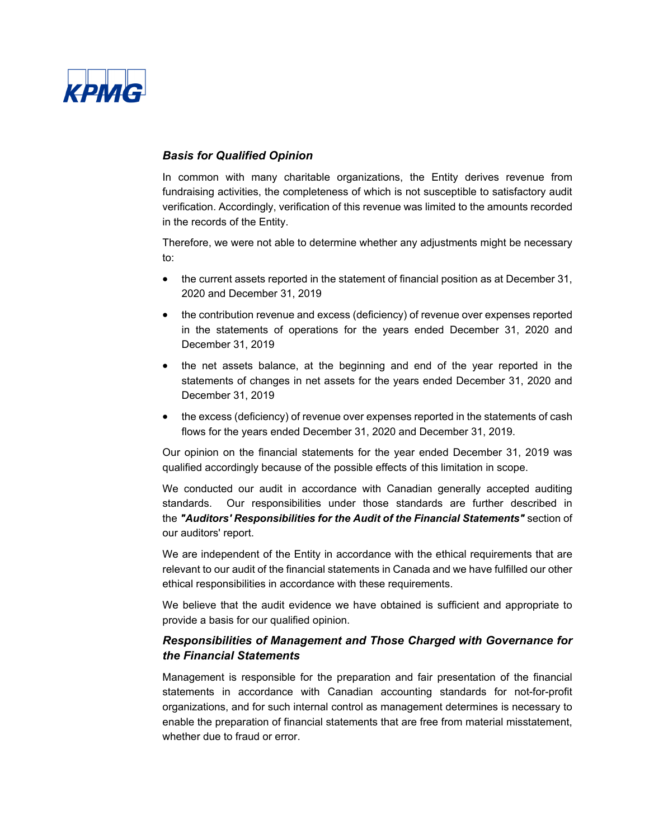

#### *Basis for Qualified Opinion*

In common with many charitable organizations, the Entity derives revenue from fundraising activities, the completeness of which is not susceptible to satisfactory audit verification. Accordingly, verification of this revenue was limited to the amounts recorded in the records of the Entity.

Therefore, we were not able to determine whether any adjustments might be necessary to:

- the current assets reported in the statement of financial position as at December 31, 2020 and December 31, 2019
- the contribution revenue and excess (deficiency) of revenue over expenses reported in the statements of operations for the years ended December 31, 2020 and December 31, 2019
- the net assets balance, at the beginning and end of the year reported in the statements of changes in net assets for the years ended December 31, 2020 and December 31, 2019
- the excess (deficiency) of revenue over expenses reported in the statements of cash flows for the years ended December 31, 2020 and December 31, 2019.

Our opinion on the financial statements for the year ended December 31, 2019 was qualified accordingly because of the possible effects of this limitation in scope.

We conducted our audit in accordance with Canadian generally accepted auditing standards. Our responsibilities under those standards are further described in the *"Auditors' Responsibilities for the Audit of the Financial Statements"* section of our auditors' report.

We are independent of the Entity in accordance with the ethical requirements that are relevant to our audit of the financial statements in Canada and we have fulfilled our other ethical responsibilities in accordance with these requirements.

We believe that the audit evidence we have obtained is sufficient and appropriate to provide a basis for our qualified opinion.

#### *Responsibilities of Management and Those Charged with Governance for the Financial Statements*

Management is responsible for the preparation and fair presentation of the financial statements in accordance with Canadian accounting standards for not-for-profit organizations, and for such internal control as management determines is necessary to enable the preparation of financial statements that are free from material misstatement, whether due to fraud or error.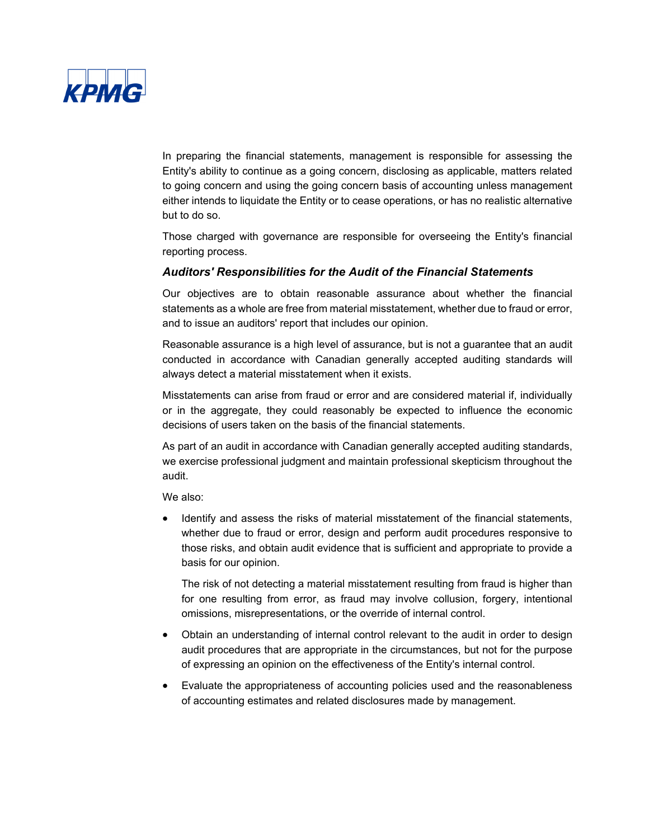

In preparing the financial statements, management is responsible for assessing the Entity's ability to continue as a going concern, disclosing as applicable, matters related to going concern and using the going concern basis of accounting unless management either intends to liquidate the Entity or to cease operations, or has no realistic alternative but to do so.

Those charged with governance are responsible for overseeing the Entity's financial reporting process.

#### *Auditors' Responsibilities for the Audit of the Financial Statements*

Our objectives are to obtain reasonable assurance about whether the financial statements as a whole are free from material misstatement, whether due to fraud or error, and to issue an auditors' report that includes our opinion.

Reasonable assurance is a high level of assurance, but is not a guarantee that an audit conducted in accordance with Canadian generally accepted auditing standards will always detect a material misstatement when it exists.

Misstatements can arise from fraud or error and are considered material if, individually or in the aggregate, they could reasonably be expected to influence the economic decisions of users taken on the basis of the financial statements.

As part of an audit in accordance with Canadian generally accepted auditing standards, we exercise professional judgment and maintain professional skepticism throughout the audit.

We also:

 Identify and assess the risks of material misstatement of the financial statements, whether due to fraud or error, design and perform audit procedures responsive to those risks, and obtain audit evidence that is sufficient and appropriate to provide a basis for our opinion.

The risk of not detecting a material misstatement resulting from fraud is higher than for one resulting from error, as fraud may involve collusion, forgery, intentional omissions, misrepresentations, or the override of internal control.

- Obtain an understanding of internal control relevant to the audit in order to design audit procedures that are appropriate in the circumstances, but not for the purpose of expressing an opinion on the effectiveness of the Entity's internal control.
- Evaluate the appropriateness of accounting policies used and the reasonableness of accounting estimates and related disclosures made by management.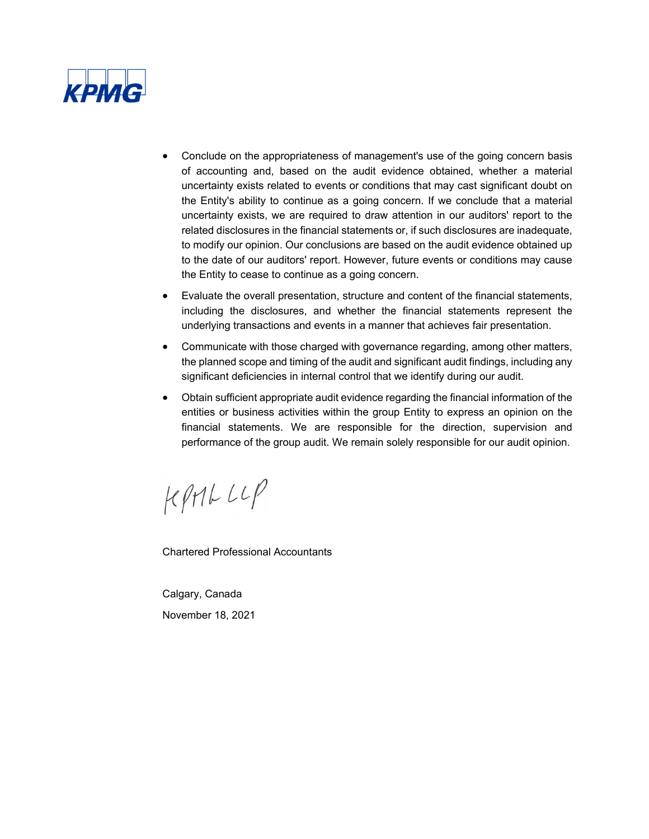

- Conclude on the appropriateness of management's use of the going concern basis of accounting and, based on the audit evidence obtained, whether a material uncertainty exists related to events or conditions that may cast significant doubt on the Entity's ability to continue as a going concern. If we conclude that a material uncertainty exists, we are required to draw attention in our auditors' report to the related disclosures in the financial statements or, if such disclosures are inadequate, to modify our opinion. Our conclusions are based on the audit evidence obtained up to the date of our auditors' report. However, future events or conditions may cause the Entity to cease to continue as a going concern.
- Evaluate the overall presentation, structure and content of the financial statements, including the disclosures, and whether the financial statements represent the underlying transactions and events in a manner that achieves fair presentation.
- Communicate with those charged with governance regarding, among other matters, the planned scope and timing of the audit and significant audit findings, including any significant deficiencies in internal control that we identify during our audit.
- Obtain sufficient appropriate audit evidence regarding the financial information of the entities or business activities within the group Entity to express an opinion on the financial statements. We are responsible for the direction, supervision and performance of the group audit. We remain solely responsible for our audit opinion.

KPMLLLP

Chartered Professional Accountants

Calgary, Canada November 18, 2021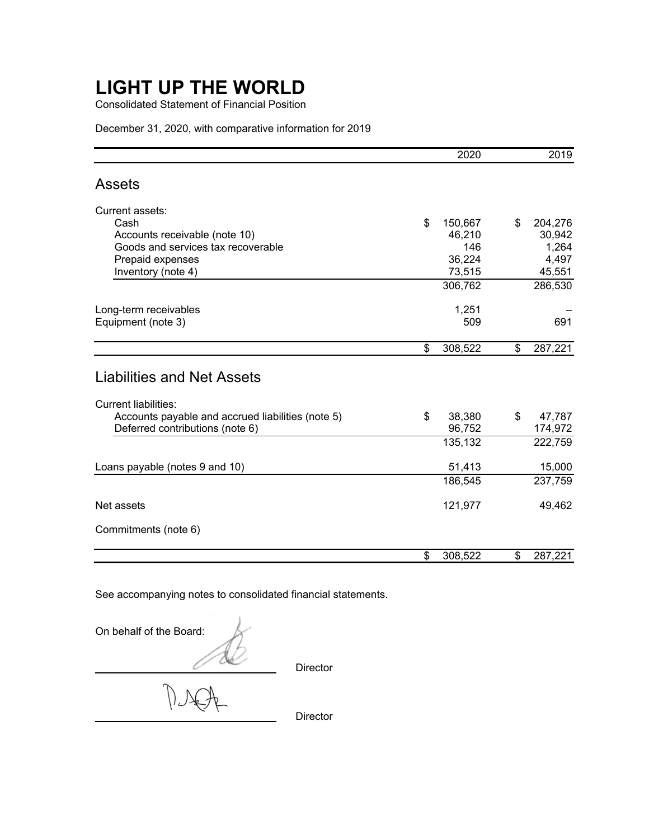Consolidated Statement of Financial Position

#### December 31, 2020, with comparative information for 2019

|                                                   | 2020             | 2019            |
|---------------------------------------------------|------------------|-----------------|
| <b>Assets</b>                                     |                  |                 |
| Current assets:                                   |                  |                 |
| Cash                                              | \$<br>150,667    | \$<br>204,276   |
| Accounts receivable (note 10)                     | 46,210           | 30,942          |
| Goods and services tax recoverable                | 146              | 1,264           |
| Prepaid expenses<br>Inventory (note 4)            | 36,224<br>73,515 | 4,497<br>45,551 |
|                                                   | 306,762          | 286,530         |
| Long-term receivables                             | 1,251            |                 |
| Equipment (note 3)                                | 509              | 691             |
|                                                   | \$<br>308,522    | \$<br>287,221   |
| <b>Liabilities and Net Assets</b>                 |                  |                 |
| <b>Current liabilities:</b>                       |                  |                 |
| Accounts payable and accrued liabilities (note 5) | \$<br>38,380     | \$<br>47,787    |
| Deferred contributions (note 6)                   | 96,752           | 174,972         |
|                                                   | 135,132          | 222,759         |
| Loans payable (notes 9 and 10)                    | 51,413           | 15,000          |
|                                                   | 186,545          | 237,759         |
| Net assets                                        | 121,977          | 49,462          |
| Commitments (note 6)                              |                  |                 |
|                                                   | \$<br>308,522    | \$<br>287,221   |

See accompanying notes to consolidated financial statements.

On behalf of the Board:  $\overline{D}$  Director

Director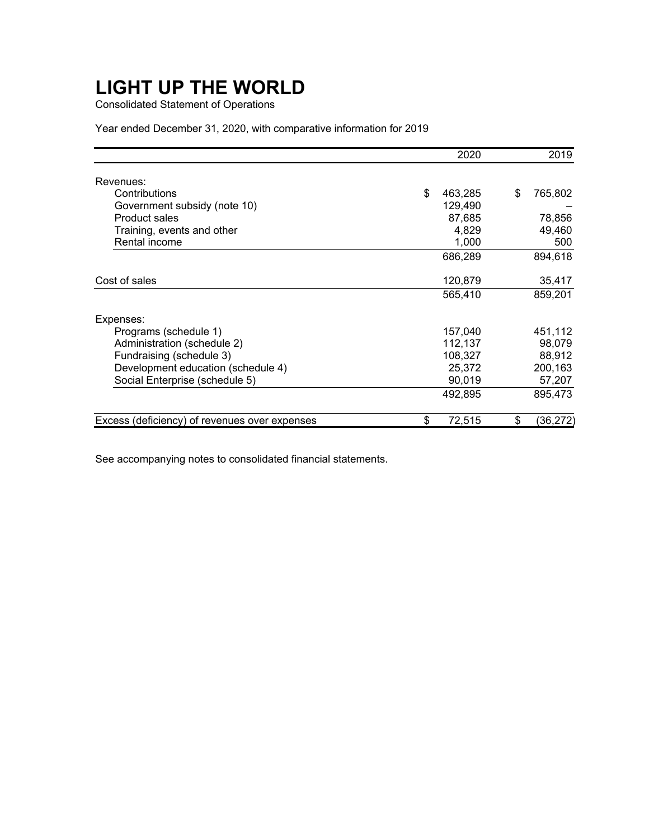Consolidated Statement of Operations

Year ended December 31, 2020, with comparative information for 2019

|                                               | 2020          | 2019            |
|-----------------------------------------------|---------------|-----------------|
| Revenues:                                     |               |                 |
| Contributions                                 | \$<br>463,285 | \$<br>765,802   |
| Government subsidy (note 10)                  | 129,490       |                 |
| Product sales                                 | 87,685        | 78,856          |
| Training, events and other                    | 4,829         | 49,460          |
| Rental income                                 | 1,000         | 500             |
|                                               | 686,289       | 894,618         |
| Cost of sales                                 | 120,879       | 35,417          |
|                                               | 565,410       | 859,201         |
| Expenses:                                     |               |                 |
| Programs (schedule 1)                         | 157,040       | 451,112         |
| Administration (schedule 2)                   | 112,137       | 98,079          |
| Fundraising (schedule 3)                      | 108,327       | 88,912          |
| Development education (schedule 4)            | 25,372        | 200,163         |
| Social Enterprise (schedule 5)                | 90,019        | 57,207          |
|                                               | 492,895       | 895,473         |
| Excess (deficiency) of revenues over expenses | \$<br>72,515  | \$<br>(36, 272) |

See accompanying notes to consolidated financial statements.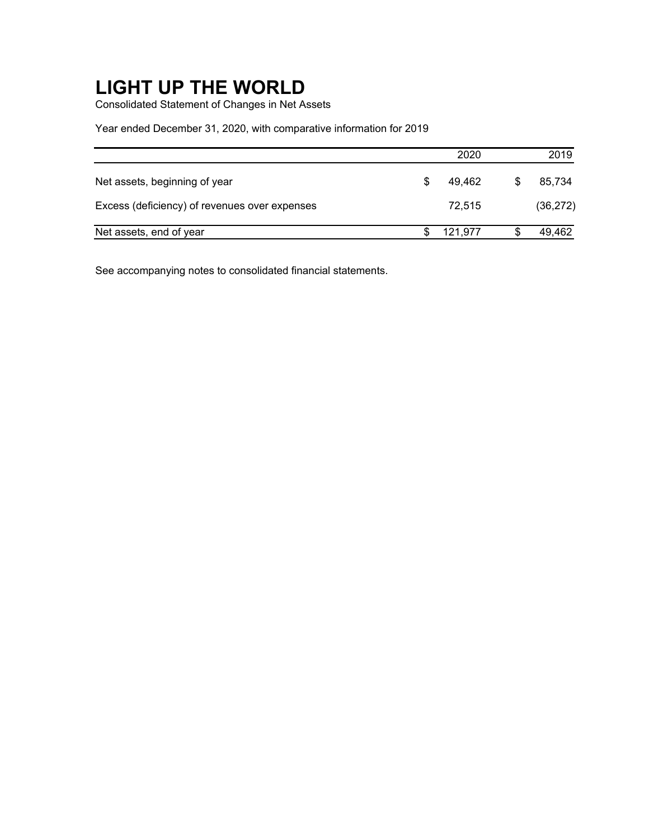Consolidated Statement of Changes in Net Assets

Year ended December 31, 2020, with comparative information for 2019

|                                               |   | 2020    |   | 2019      |
|-----------------------------------------------|---|---------|---|-----------|
| Net assets, beginning of year                 | S | 49.462  | S | 85,734    |
| Excess (deficiency) of revenues over expenses |   | 72.515  |   | (36, 272) |
| Net assets, end of year                       |   | 121.977 |   | 49,462    |

See accompanying notes to consolidated financial statements.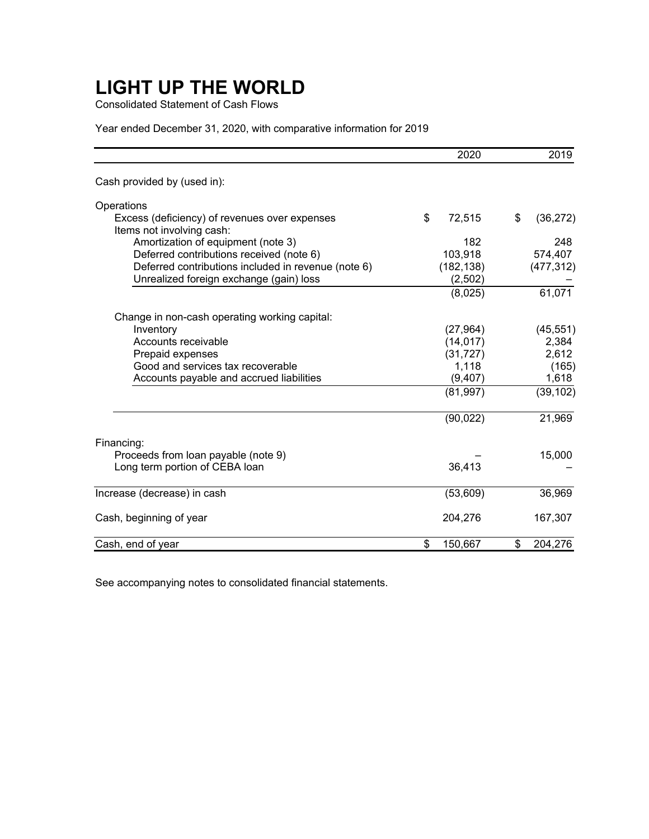Consolidated Statement of Cash Flows

#### Year ended December 31, 2020, with comparative information for 2019

|                                                                            | 2020          | 2019            |
|----------------------------------------------------------------------------|---------------|-----------------|
| Cash provided by (used in):                                                |               |                 |
| Operations                                                                 |               |                 |
| Excess (deficiency) of revenues over expenses<br>Items not involving cash: | \$<br>72,515  | \$<br>(36, 272) |
| Amortization of equipment (note 3)                                         | 182           | 248             |
| Deferred contributions received (note 6)                                   | 103,918       | 574,407         |
| Deferred contributions included in revenue (note 6)                        | (182, 138)    | (477, 312)      |
| Unrealized foreign exchange (gain) loss                                    | (2,502)       |                 |
|                                                                            | (8,025)       | 61,071          |
| Change in non-cash operating working capital:                              |               |                 |
| Inventory                                                                  | (27, 964)     | (45, 551)       |
| Accounts receivable                                                        | (14, 017)     | 2,384           |
| Prepaid expenses                                                           | (31, 727)     | 2,612           |
| Good and services tax recoverable                                          | 1,118         | (165)           |
| Accounts payable and accrued liabilities                                   | (9,407)       | 1,618           |
|                                                                            | (81, 997)     | (39, 102)       |
|                                                                            | (90, 022)     | 21,969          |
| Financing:                                                                 |               |                 |
| Proceeds from loan payable (note 9)                                        |               | 15,000          |
| Long term portion of CEBA loan                                             | 36,413        |                 |
| Increase (decrease) in cash                                                | (53,609)      | 36,969          |
| Cash, beginning of year                                                    | 204,276       | 167,307         |
| Cash, end of year                                                          | \$<br>150,667 | \$<br>204,276   |

See accompanying notes to consolidated financial statements.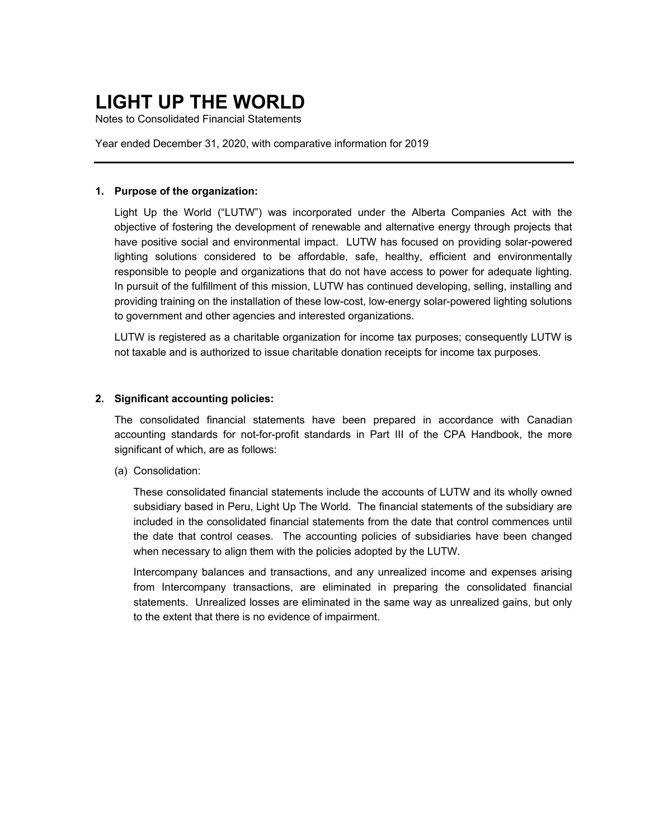Notes to Consolidated Financial Statements

Year ended December 31, 2020, with comparative information for 2019

#### **1. Purpose of the organization:**

Light Up the World ("LUTW") was incorporated under the Alberta Companies Act with the objective of fostering the development of renewable and alternative energy through projects that have positive social and environmental impact. LUTW has focused on providing solar-powered lighting solutions considered to be affordable, safe, healthy, efficient and environmentally responsible to people and organizations that do not have access to power for adequate lighting. In pursuit of the fulfillment of this mission, LUTW has continued developing, selling, installing and providing training on the installation of these low-cost, low-energy solar-powered lighting solutions to government and other agencies and interested organizations.

LUTW is registered as a charitable organization for income tax purposes; consequently LUTW is not taxable and is authorized to issue charitable donation receipts for income tax purposes.

#### **2. Significant accounting policies:**

The consolidated financial statements have been prepared in accordance with Canadian accounting standards for not-for-profit standards in Part III of the CPA Handbook, the more significant of which, are as follows:

(a) Consolidation:

These consolidated financial statements include the accounts of LUTW and its wholly owned subsidiary based in Peru, Light Up The World. The financial statements of the subsidiary are included in the consolidated financial statements from the date that control commences until the date that control ceases. The accounting policies of subsidiaries have been changed when necessary to align them with the policies adopted by the LUTW.

Intercompany balances and transactions, and any unrealized income and expenses arising from Intercompany transactions, are eliminated in preparing the consolidated financial statements. Unrealized losses are eliminated in the same way as unrealized gains, but only to the extent that there is no evidence of impairment.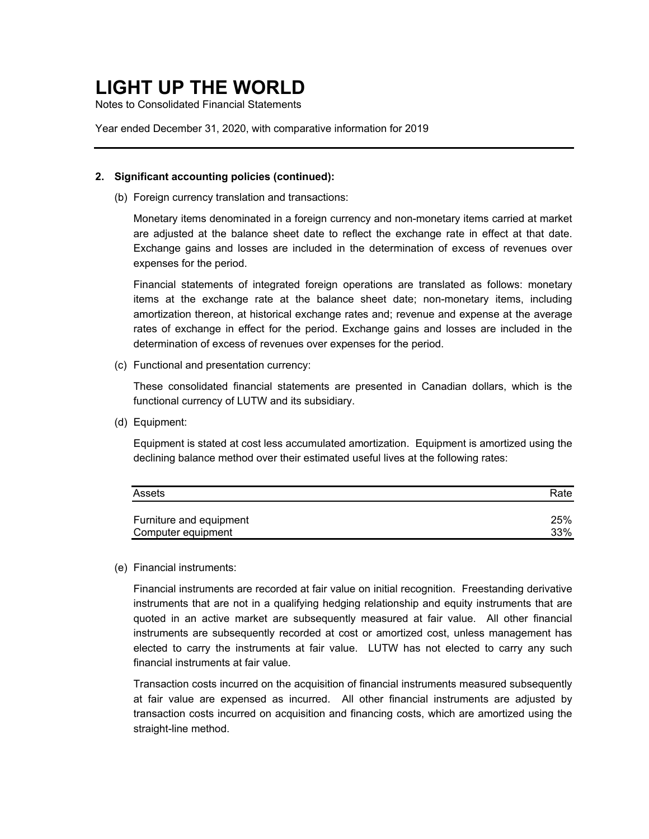Notes to Consolidated Financial Statements

Year ended December 31, 2020, with comparative information for 2019

#### **2. Significant accounting policies (continued):**

(b) Foreign currency translation and transactions:

Monetary items denominated in a foreign currency and non-monetary items carried at market are adjusted at the balance sheet date to reflect the exchange rate in effect at that date. Exchange gains and losses are included in the determination of excess of revenues over expenses for the period.

Financial statements of integrated foreign operations are translated as follows: monetary items at the exchange rate at the balance sheet date; non-monetary items, including amortization thereon, at historical exchange rates and; revenue and expense at the average rates of exchange in effect for the period. Exchange gains and losses are included in the determination of excess of revenues over expenses for the period.

(c) Functional and presentation currency:

These consolidated financial statements are presented in Canadian dollars, which is the functional currency of LUTW and its subsidiary.

(d) Equipment:

Equipment is stated at cost less accumulated amortization. Equipment is amortized using the declining balance method over their estimated useful lives at the following rates:

| Assets                  | Rate |
|-------------------------|------|
| Furniture and equipment | 25%  |
| Computer equipment      | 33%  |

(e) Financial instruments:

Financial instruments are recorded at fair value on initial recognition. Freestanding derivative instruments that are not in a qualifying hedging relationship and equity instruments that are quoted in an active market are subsequently measured at fair value. All other financial instruments are subsequently recorded at cost or amortized cost, unless management has elected to carry the instruments at fair value. LUTW has not elected to carry any such financial instruments at fair value.

Transaction costs incurred on the acquisition of financial instruments measured subsequently at fair value are expensed as incurred. All other financial instruments are adjusted by transaction costs incurred on acquisition and financing costs, which are amortized using the straight-line method.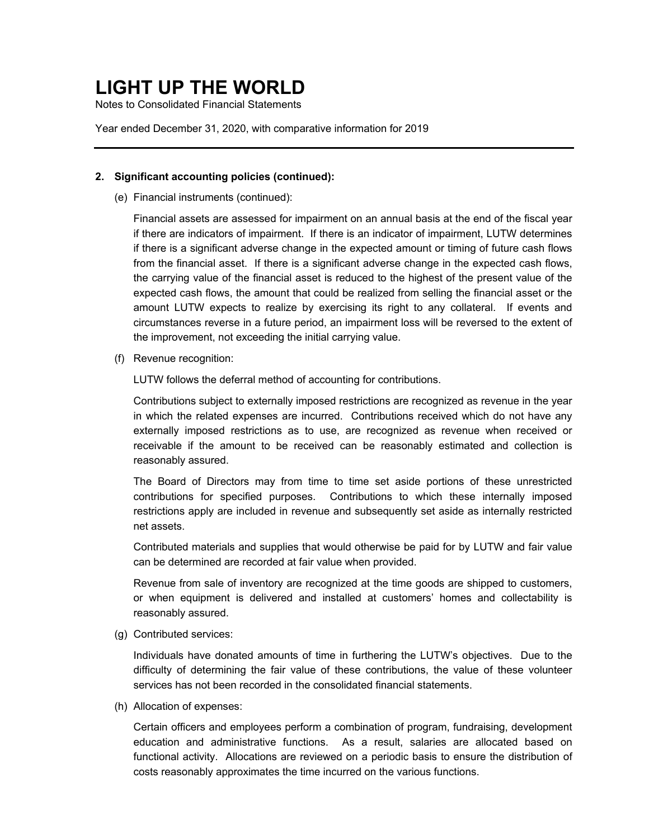Notes to Consolidated Financial Statements

Year ended December 31, 2020, with comparative information for 2019

#### **2. Significant accounting policies (continued):**

(e) Financial instruments (continued):

Financial assets are assessed for impairment on an annual basis at the end of the fiscal year if there are indicators of impairment. If there is an indicator of impairment, LUTW determines if there is a significant adverse change in the expected amount or timing of future cash flows from the financial asset. If there is a significant adverse change in the expected cash flows, the carrying value of the financial asset is reduced to the highest of the present value of the expected cash flows, the amount that could be realized from selling the financial asset or the amount LUTW expects to realize by exercising its right to any collateral. If events and circumstances reverse in a future period, an impairment loss will be reversed to the extent of the improvement, not exceeding the initial carrying value.

(f) Revenue recognition:

LUTW follows the deferral method of accounting for contributions.

Contributions subject to externally imposed restrictions are recognized as revenue in the year in which the related expenses are incurred. Contributions received which do not have any externally imposed restrictions as to use, are recognized as revenue when received or receivable if the amount to be received can be reasonably estimated and collection is reasonably assured.

The Board of Directors may from time to time set aside portions of these unrestricted contributions for specified purposes. Contributions to which these internally imposed restrictions apply are included in revenue and subsequently set aside as internally restricted net assets.

Contributed materials and supplies that would otherwise be paid for by LUTW and fair value can be determined are recorded at fair value when provided.

Revenue from sale of inventory are recognized at the time goods are shipped to customers, or when equipment is delivered and installed at customers' homes and collectability is reasonably assured.

(g) Contributed services:

Individuals have donated amounts of time in furthering the LUTW's objectives. Due to the difficulty of determining the fair value of these contributions, the value of these volunteer services has not been recorded in the consolidated financial statements.

(h) Allocation of expenses:

Certain officers and employees perform a combination of program, fundraising, development education and administrative functions. As a result, salaries are allocated based on functional activity. Allocations are reviewed on a periodic basis to ensure the distribution of costs reasonably approximates the time incurred on the various functions.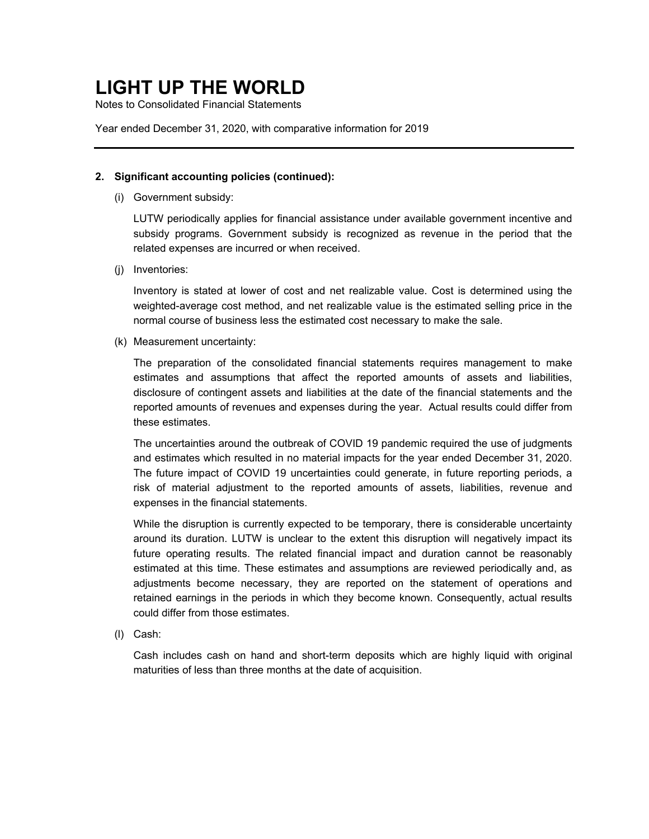Notes to Consolidated Financial Statements

Year ended December 31, 2020, with comparative information for 2019

#### **2. Significant accounting policies (continued):**

(i) Government subsidy:

LUTW periodically applies for financial assistance under available government incentive and subsidy programs. Government subsidy is recognized as revenue in the period that the related expenses are incurred or when received.

(j) Inventories:

Inventory is stated at lower of cost and net realizable value. Cost is determined using the weighted-average cost method, and net realizable value is the estimated selling price in the normal course of business less the estimated cost necessary to make the sale.

(k) Measurement uncertainty:

The preparation of the consolidated financial statements requires management to make estimates and assumptions that affect the reported amounts of assets and liabilities, disclosure of contingent assets and liabilities at the date of the financial statements and the reported amounts of revenues and expenses during the year. Actual results could differ from these estimates.

The uncertainties around the outbreak of COVID 19 pandemic required the use of judgments and estimates which resulted in no material impacts for the year ended December 31, 2020. The future impact of COVID 19 uncertainties could generate, in future reporting periods, a risk of material adjustment to the reported amounts of assets, liabilities, revenue and expenses in the financial statements.

While the disruption is currently expected to be temporary, there is considerable uncertainty around its duration. LUTW is unclear to the extent this disruption will negatively impact its future operating results. The related financial impact and duration cannot be reasonably estimated at this time. These estimates and assumptions are reviewed periodically and, as adjustments become necessary, they are reported on the statement of operations and retained earnings in the periods in which they become known. Consequently, actual results could differ from those estimates.

(l) Cash:

Cash includes cash on hand and short-term deposits which are highly liquid with original maturities of less than three months at the date of acquisition.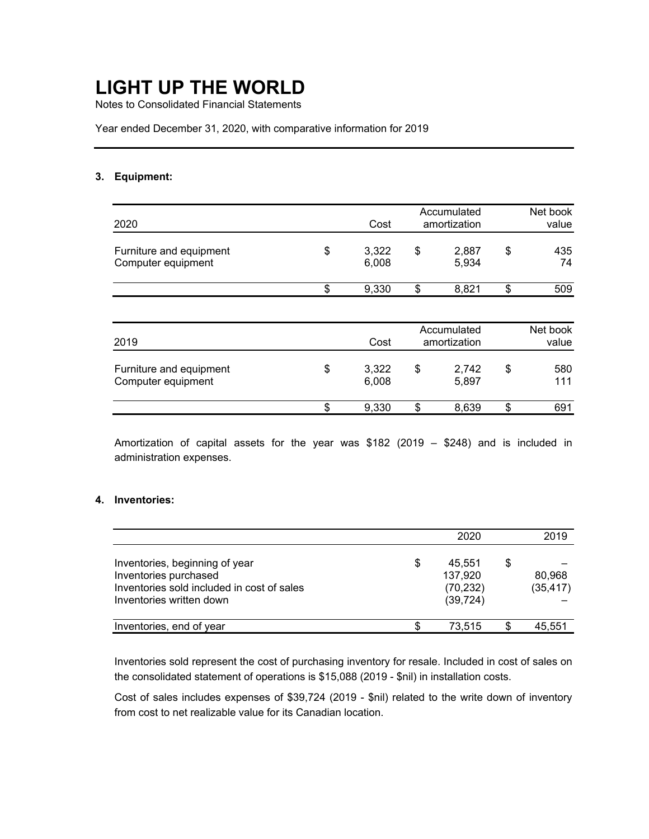Notes to Consolidated Financial Statements

Year ended December 31, 2020, with comparative information for 2019

#### **3. Equipment:**

| 2020                                          | Cost                 | Accumulated<br>amortization |                | Net book<br>value |
|-----------------------------------------------|----------------------|-----------------------------|----------------|-------------------|
|                                               |                      |                             |                |                   |
| Furniture and equipment<br>Computer equipment | \$<br>3,322<br>6,008 | \$                          | 2,887<br>5,934 | \$<br>435<br>74   |
|                                               | \$<br>9,330          | \$                          | 8,821          | \$<br>509         |
|                                               |                      |                             |                |                   |
| 2019                                          | Cost                 | Accumulated<br>amortization |                | Net book<br>value |
| Furniture and equipment<br>Computer equipment | \$<br>3,322<br>6,008 | \$                          | 2,742<br>5,897 | \$<br>580<br>111  |
|                                               | \$<br>9,330          | \$                          | 8,639          | \$<br>691         |

Amortization of capital assets for the year was \$182 (2019 – \$248) and is included in administration expenses.

#### **4. Inventories:**

|                                                                                                                                   | 2020                                              | 2019                      |
|-----------------------------------------------------------------------------------------------------------------------------------|---------------------------------------------------|---------------------------|
| Inventories, beginning of year<br>Inventories purchased<br>Inventories sold included in cost of sales<br>Inventories written down | \$<br>45.551<br>137,920<br>(70, 232)<br>(39, 724) | \$<br>80.968<br>(35, 417) |
| Inventories, end of year                                                                                                          | 73.515                                            | 45.551                    |

Inventories sold represent the cost of purchasing inventory for resale. Included in cost of sales on the consolidated statement of operations is \$15,088 (2019 - \$nil) in installation costs.

Cost of sales includes expenses of \$39,724 (2019 - \$nil) related to the write down of inventory from cost to net realizable value for its Canadian location.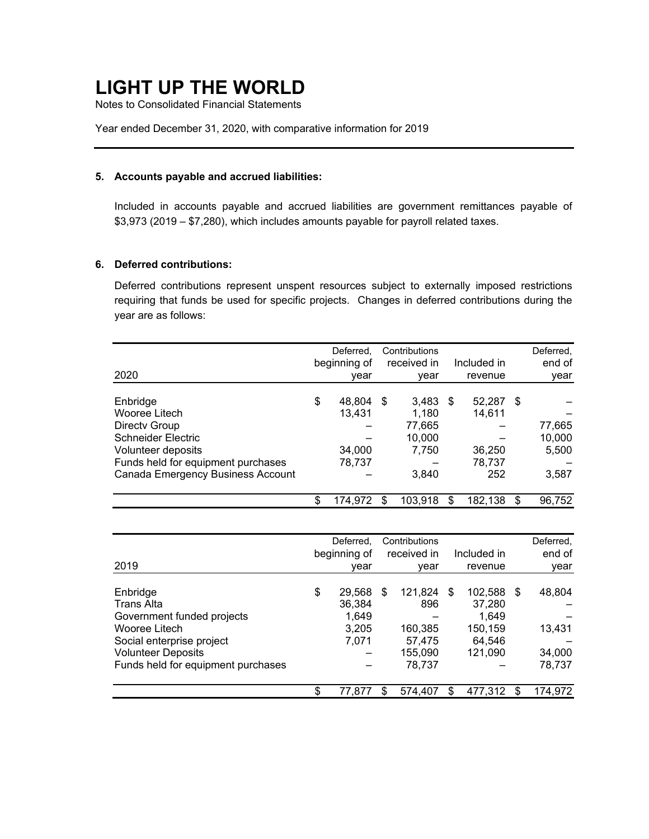Notes to Consolidated Financial Statements

Year ended December 31, 2020, with comparative information for 2019

#### **5. Accounts payable and accrued liabilities:**

Included in accounts payable and accrued liabilities are government remittances payable of \$3,973 (2019 – \$7,280), which includes amounts payable for payroll related taxes.

#### **6. Deferred contributions:**

Deferred contributions represent unspent resources subject to externally imposed restrictions requiring that funds be used for specific projects. Changes in deferred contributions during the year are as follows:

| 2020                                                                                                                                                              | Deferred.<br>beginning of<br>year          |    | Contributions<br>received in<br>year                 |    | Included in<br>revenue                      | Deferred,<br>end of<br>year              |
|-------------------------------------------------------------------------------------------------------------------------------------------------------------------|--------------------------------------------|----|------------------------------------------------------|----|---------------------------------------------|------------------------------------------|
| Enbridge<br>Wooree Litech<br>Directy Group<br>Schneider Electric<br>Volunteer deposits<br>Funds held for equipment purchases<br>Canada Emergency Business Account | \$<br>48,804<br>13,431<br>34,000<br>78.737 | \$ | 3,483<br>1,180<br>77,665<br>10,000<br>7,750<br>3,840 | -S | 52,287<br>14,611<br>36,250<br>78,737<br>252 | \$<br>77,665<br>10,000<br>5,500<br>3,587 |
|                                                                                                                                                                   | \$<br>174.972                              | S  | 103.918                                              | S  | 182,138                                     | \$<br>96,752                             |

|                                    | Deferred.    |   | Contributions |     |             |    | Deferred, |
|------------------------------------|--------------|---|---------------|-----|-------------|----|-----------|
|                                    | beginning of |   | received in   |     | Included in |    | end of    |
| 2019                               | year         |   | year          |     | revenue     |    | year      |
| Enbridge                           | \$<br>29,568 | S | 121,824       | \$. | 102,588     | -S | 48,804    |
| <b>Trans Alta</b>                  | 36,384       |   | 896           |     | 37,280      |    |           |
| Government funded projects         | 1,649        |   |               |     | 1.649       |    |           |
| Wooree Litech                      | 3,205        |   | 160,385       |     | 150,159     |    | 13,431    |
| Social enterprise project          | 7,071        |   | 57,475        |     | 64,546      |    |           |
| <b>Volunteer Deposits</b>          |              |   | 155,090       |     | 121,090     |    | 34,000    |
| Funds held for equipment purchases |              |   | 78,737        |     |             |    | 78,737    |
|                                    | \$<br>77.877 |   | 574.407       | \$. | 477.312     | S  | 174,972   |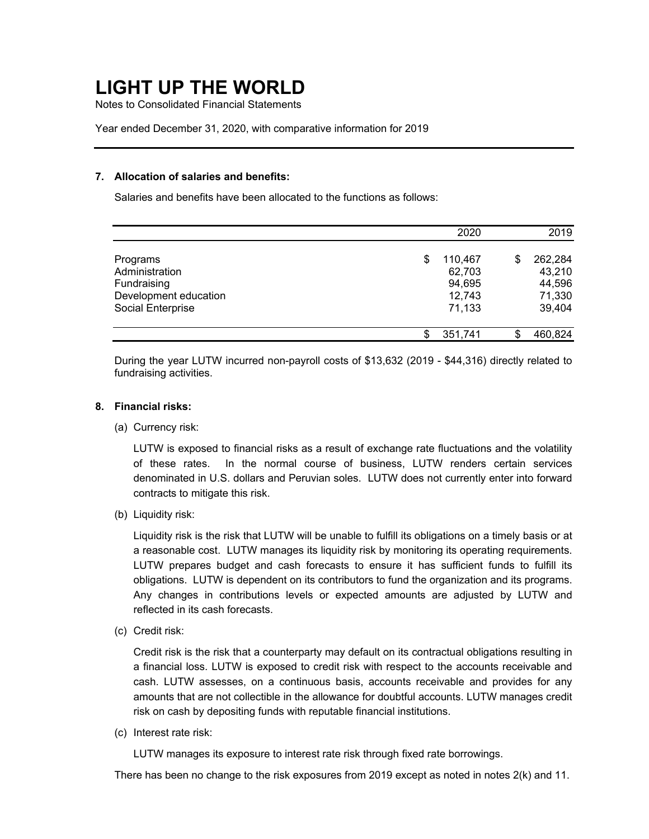Notes to Consolidated Financial Statements

Year ended December 31, 2020, with comparative information for 2019

#### **7. Allocation of salaries and benefits:**

Salaries and benefits have been allocated to the functions as follows:

|                       |   | 2020    |    | 2019    |
|-----------------------|---|---------|----|---------|
| Programs              | S | 110,467 | \$ | 262,284 |
| Administration        |   | 62,703  |    | 43,210  |
| Fundraising           |   | 94,695  |    | 44,596  |
| Development education |   | 12,743  |    | 71,330  |
| Social Enterprise     |   | 71,133  |    | 39,404  |
|                       | S | 351,741 | S  | 460,824 |

During the year LUTW incurred non-payroll costs of \$13,632 (2019 - \$44,316) directly related to fundraising activities.

#### **8. Financial risks:**

(a) Currency risk:

LUTW is exposed to financial risks as a result of exchange rate fluctuations and the volatility of these rates. In the normal course of business, LUTW renders certain services denominated in U.S. dollars and Peruvian soles. LUTW does not currently enter into forward contracts to mitigate this risk.

(b) Liquidity risk:

Liquidity risk is the risk that LUTW will be unable to fulfill its obligations on a timely basis or at a reasonable cost. LUTW manages its liquidity risk by monitoring its operating requirements. LUTW prepares budget and cash forecasts to ensure it has sufficient funds to fulfill its obligations. LUTW is dependent on its contributors to fund the organization and its programs. Any changes in contributions levels or expected amounts are adjusted by LUTW and reflected in its cash forecasts.

(c) Credit risk:

Credit risk is the risk that a counterparty may default on its contractual obligations resulting in a financial loss. LUTW is exposed to credit risk with respect to the accounts receivable and cash. LUTW assesses, on a continuous basis, accounts receivable and provides for any amounts that are not collectible in the allowance for doubtful accounts. LUTW manages credit risk on cash by depositing funds with reputable financial institutions.

(c) Interest rate risk:

LUTW manages its exposure to interest rate risk through fixed rate borrowings.

There has been no change to the risk exposures from 2019 except as noted in notes 2(k) and 11.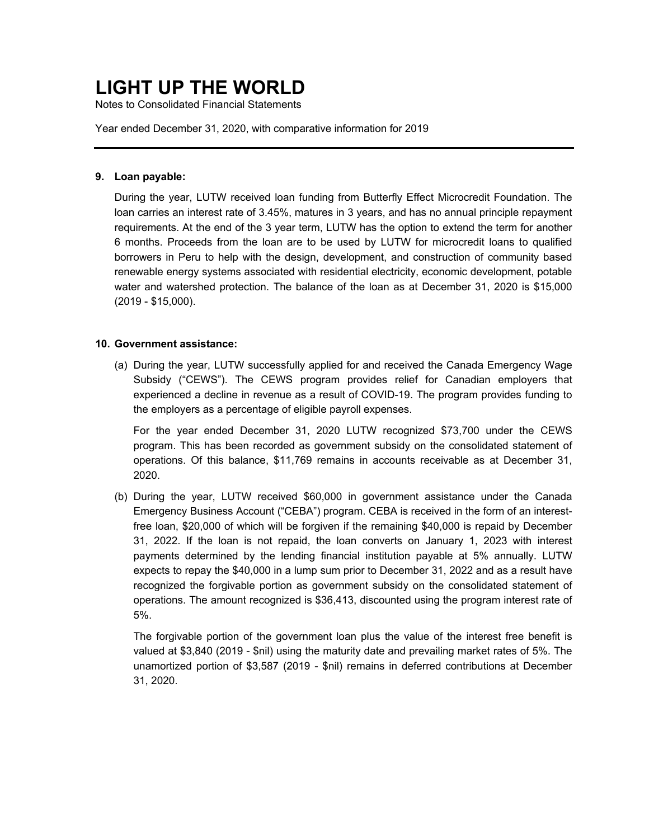Notes to Consolidated Financial Statements

Year ended December 31, 2020, with comparative information for 2019

#### **9. Loan payable:**

During the year, LUTW received loan funding from Butterfly Effect Microcredit Foundation. The loan carries an interest rate of 3.45%, matures in 3 years, and has no annual principle repayment requirements. At the end of the 3 year term, LUTW has the option to extend the term for another 6 months. Proceeds from the loan are to be used by LUTW for microcredit loans to qualified borrowers in Peru to help with the design, development, and construction of community based renewable energy systems associated with residential electricity, economic development, potable water and watershed protection. The balance of the loan as at December 31, 2020 is \$15,000 (2019 - \$15,000).

#### **10. Government assistance:**

(a) During the year, LUTW successfully applied for and received the Canada Emergency Wage Subsidy ("CEWS"). The CEWS program provides relief for Canadian employers that experienced a decline in revenue as a result of COVID-19. The program provides funding to the employers as a percentage of eligible payroll expenses.

For the year ended December 31, 2020 LUTW recognized \$73,700 under the CEWS program. This has been recorded as government subsidy on the consolidated statement of operations. Of this balance, \$11,769 remains in accounts receivable as at December 31, 2020.

(b) During the year, LUTW received \$60,000 in government assistance under the Canada Emergency Business Account ("CEBA") program. CEBA is received in the form of an interestfree loan, \$20,000 of which will be forgiven if the remaining \$40,000 is repaid by December 31, 2022. If the loan is not repaid, the loan converts on January 1, 2023 with interest payments determined by the lending financial institution payable at 5% annually. LUTW expects to repay the \$40,000 in a lump sum prior to December 31, 2022 and as a result have recognized the forgivable portion as government subsidy on the consolidated statement of operations. The amount recognized is \$36,413, discounted using the program interest rate of 5%.

The forgivable portion of the government loan plus the value of the interest free benefit is valued at \$3,840 (2019 - \$nil) using the maturity date and prevailing market rates of 5%. The unamortized portion of \$3,587 (2019 - \$nil) remains in deferred contributions at December 31, 2020.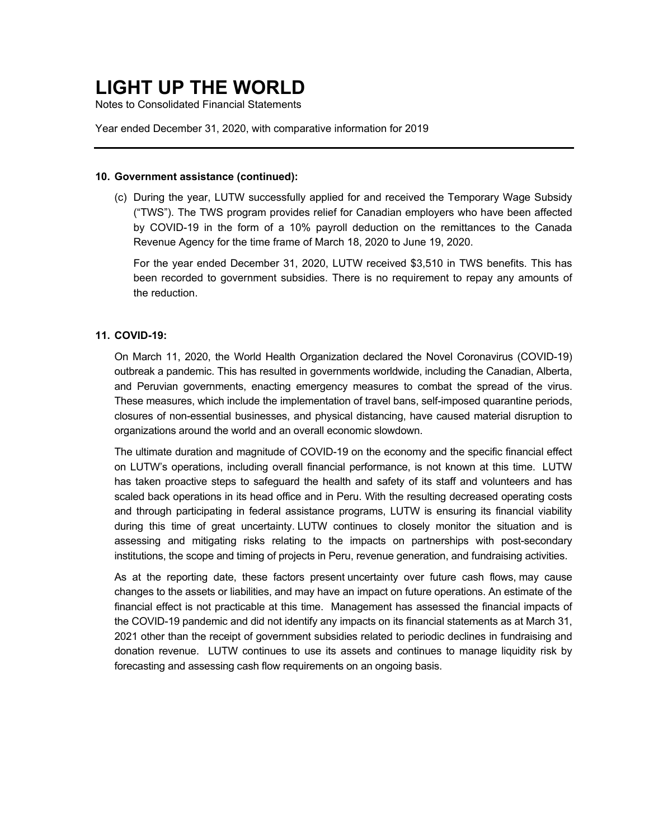Notes to Consolidated Financial Statements

Year ended December 31, 2020, with comparative information for 2019

#### **10. Government assistance (continued):**

(c) During the year, LUTW successfully applied for and received the Temporary Wage Subsidy ("TWS"). The TWS program provides relief for Canadian employers who have been affected by COVID-19 in the form of a 10% payroll deduction on the remittances to the Canada Revenue Agency for the time frame of March 18, 2020 to June 19, 2020.

For the year ended December 31, 2020, LUTW received \$3,510 in TWS benefits. This has been recorded to government subsidies. There is no requirement to repay any amounts of the reduction.

#### **11. COVID-19:**

On March 11, 2020, the World Health Organization declared the Novel Coronavirus (COVID-19) outbreak a pandemic. This has resulted in governments worldwide, including the Canadian, Alberta, and Peruvian governments, enacting emergency measures to combat the spread of the virus. These measures, which include the implementation of travel bans, self-imposed quarantine periods, closures of non-essential businesses, and physical distancing, have caused material disruption to organizations around the world and an overall economic slowdown.

The ultimate duration and magnitude of COVID-19 on the economy and the specific financial effect on LUTW's operations, including overall financial performance, is not known at this time. LUTW has taken proactive steps to safeguard the health and safety of its staff and volunteers and has scaled back operations in its head office and in Peru. With the resulting decreased operating costs and through participating in federal assistance programs, LUTW is ensuring its financial viability during this time of great uncertainty. LUTW continues to closely monitor the situation and is assessing and mitigating risks relating to the impacts on partnerships with post-secondary institutions, the scope and timing of projects in Peru, revenue generation, and fundraising activities.

As at the reporting date, these factors present uncertainty over future cash flows, may cause changes to the assets or liabilities, and may have an impact on future operations. An estimate of the financial effect is not practicable at this time. Management has assessed the financial impacts of the COVID-19 pandemic and did not identify any impacts on its financial statements as at March 31, 2021 other than the receipt of government subsidies related to periodic declines in fundraising and donation revenue. LUTW continues to use its assets and continues to manage liquidity risk by forecasting and assessing cash flow requirements on an ongoing basis.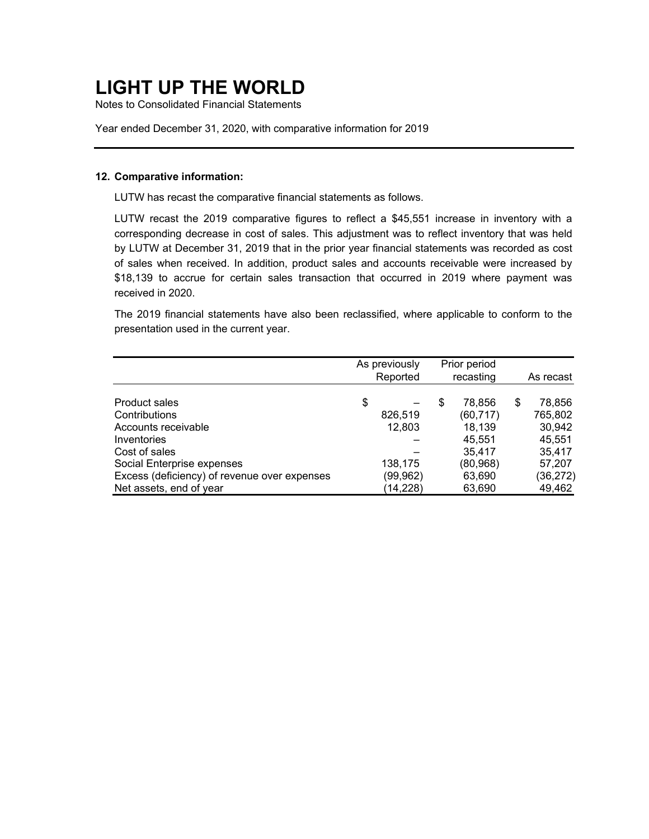Notes to Consolidated Financial Statements

Year ended December 31, 2020, with comparative information for 2019

#### **12. Comparative information:**

LUTW has recast the comparative financial statements as follows.

LUTW recast the 2019 comparative figures to reflect a \$45,551 increase in inventory with a corresponding decrease in cost of sales. This adjustment was to reflect inventory that was held by LUTW at December 31, 2019 that in the prior year financial statements was recorded as cost of sales when received. In addition, product sales and accounts receivable were increased by \$18,139 to accrue for certain sales transaction that occurred in 2019 where payment was received in 2020.

The 2019 financial statements have also been reclassified, where applicable to conform to the presentation used in the current year.

|                                              | As previously<br>Reported |           | Prior period<br>recasting |           |   | As recast |
|----------------------------------------------|---------------------------|-----------|---------------------------|-----------|---|-----------|
| Product sales                                | \$                        |           | S                         | 78.856    | S | 78,856    |
| Contributions                                |                           | 826,519   |                           | (60, 717) |   | 765,802   |
| Accounts receivable                          |                           | 12,803    |                           | 18,139    |   | 30,942    |
| Inventories                                  |                           |           |                           | 45.551    |   | 45.551    |
| Cost of sales                                |                           |           |                           | 35.417    |   | 35,417    |
| Social Enterprise expenses                   |                           | 138,175   |                           | (80, 968) |   | 57,207    |
| Excess (deficiency) of revenue over expenses |                           | (99, 962) |                           | 63,690    |   | (36, 272) |
| Net assets, end of year                      |                           | (14,228)  |                           | 63,690    |   | 49,462    |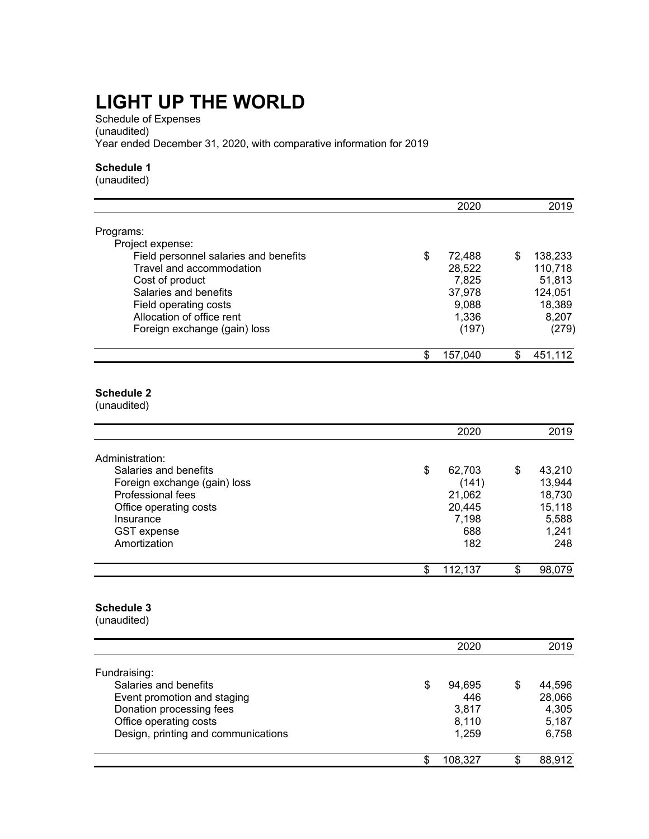Schedule of Expenses (unaudited) Year ended December 31, 2020, with comparative information for 2019

### **Schedule 1**

(unaudited)

|                                                                   | 2020             | 2019                     |
|-------------------------------------------------------------------|------------------|--------------------------|
|                                                                   |                  |                          |
| Programs:                                                         |                  |                          |
| Project expense:                                                  | \$               |                          |
| Field personnel salaries and benefits<br>Travel and accommodation | 72,488<br>28,522 | \$<br>138,233<br>110,718 |
| Cost of product                                                   | 7,825            | 51,813                   |
| Salaries and benefits                                             | 37,978           | 124,051                  |
| Field operating costs                                             | 9,088            | 18,389                   |
| Allocation of office rent                                         | 1,336            | 8,207                    |
| Foreign exchange (gain) loss                                      | (197)            | (279)                    |
|                                                                   |                  |                          |
|                                                                   | \$<br>157,040    | \$<br>451,112            |
| <b>Schedule 2</b>                                                 |                  |                          |
| (unaudited)                                                       |                  |                          |
|                                                                   | 2020             | 2019                     |
|                                                                   |                  |                          |
| Administration:                                                   |                  |                          |
| Salaries and benefits                                             | \$<br>62,703     | \$<br>43,210             |
| Foreign exchange (gain) loss                                      | (141)            | 13,944                   |
| Professional fees                                                 | 21,062           | 18,730                   |
| Office operating costs<br>Insurance                               | 20,445<br>7,198  | 15,118<br>5,588          |
| <b>GST</b> expense                                                | 688              | 1,241                    |
| Amortization                                                      | 182              | 248                      |
|                                                                   |                  |                          |
|                                                                   | \$<br>112,137    | \$<br>98,079             |
|                                                                   |                  |                          |
| <b>Schedule 3</b><br>(unaudited)                                  |                  |                          |
|                                                                   |                  |                          |
|                                                                   | 2020             | 2019                     |
| Fundraising:                                                      |                  |                          |
| Salaries and benefits                                             | \$<br>94,695     | \$<br>44,596             |
| Event promotion and staging                                       | 446              | 28,066                   |
| Donation processing fees                                          | 3,817            | 4,305                    |
| Office operating costs                                            | 8,110            | 5,187                    |
| Design, printing and communications                               | 1,259            | 6,758                    |
|                                                                   | \$<br>108,327    | \$<br>88,912             |
|                                                                   |                  |                          |